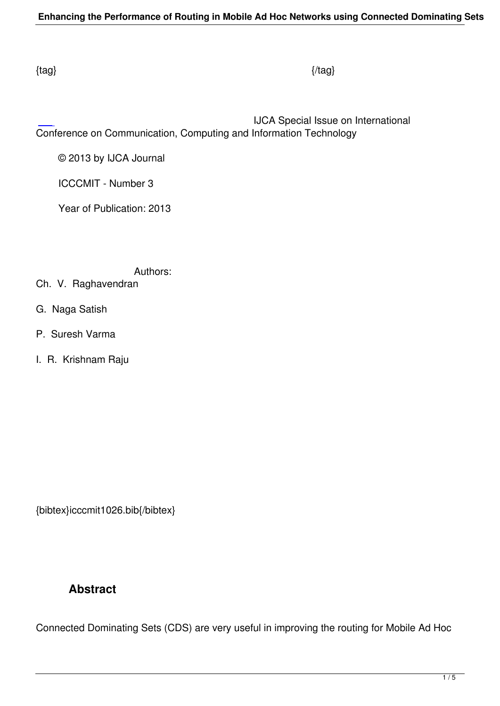IJCA Special Issue on International Conference on Communication, Computing and Information Technology

© 2013 by IJCA Journal

ICCCMIT - Number 3

Year of Publication: 2013

Authors:

- Ch. V. Raghavendran
- G. Naga Satish
- P. Suresh Varma
- I. R. Krishnam Raju

{bibtex}icccmit1026.bib{/bibtex}

# **Abstract**

Connected Dominating Sets (CDS) are very useful in improving the routing for Mobile Ad Hoc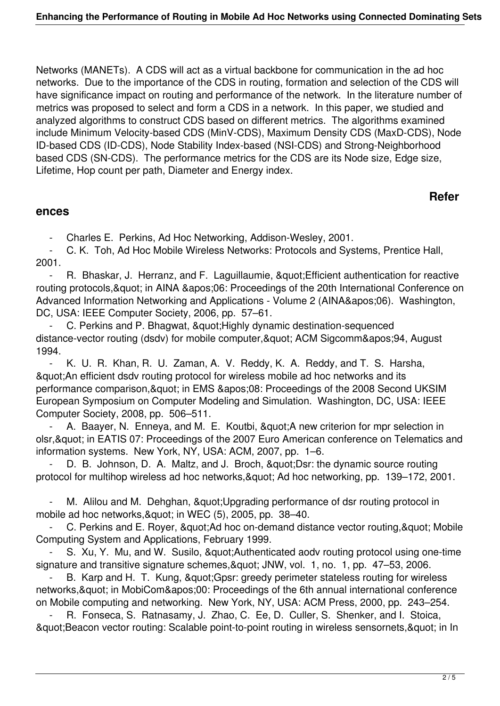Networks (MANETs). A CDS will act as a virtual backbone for communication in the ad hoc networks. Due to the importance of the CDS in routing, formation and selection of the CDS will have significance impact on routing and performance of the network. In the literature number of metrics was proposed to select and form a CDS in a network. In this paper, we studied and analyzed algorithms to construct CDS based on different metrics. The algorithms examined include Minimum Velocity-based CDS (MinV-CDS), Maximum Density CDS (MaxD-CDS), Node ID-based CDS (ID-CDS), Node Stability Index-based (NSI-CDS) and Strong-Neighborhood based CDS (SN-CDS). The performance metrics for the CDS are its Node size, Edge size, Lifetime, Hop count per path, Diameter and Energy index.

## **Refer**

#### **ences**

- Charles E. Perkins, Ad Hoc Networking, Addison-Wesley, 2001.

 - C. K. Toh, Ad Hoc Mobile Wireless Networks: Protocols and Systems, Prentice Hall, 2001.

- R. Bhaskar, J. Herranz, and F. Laguillaumie, " Efficient authentication for reactive routing protocols, & quot; in AINA & apos; 06: Proceedings of the 20th International Conference on Advanced Information Networking and Applications - Volume 2 (AINA'06). Washington, DC, USA: IEEE Computer Society, 2006, pp. 57–61.

C. Perkins and P. Bhagwat, & quot; Highly dynamic destination-sequenced distance-vector routing (dsdv) for mobile computer, & quot; ACM Sigcomm& apos; 94, August 1994.

 - K. U. R. Khan, R. U. Zaman, A. V. Reddy, K. A. Reddy, and T. S. Harsha, "An efficient dsdv routing protocol for wireless mobile ad hoc networks and its performance comparison, & quot; in EMS & apos; 08: Proceedings of the 2008 Second UKSIM European Symposium on Computer Modeling and Simulation. Washington, DC, USA: IEEE Computer Society, 2008, pp. 506–511.

A. Baayer, N. Enneya, and M. E. Koutbi, & quot: A new criterion for mpr selection in olsr, & quot; in EATIS 07: Proceedings of the 2007 Euro American conference on Telematics and information systems. New York, NY, USA: ACM, 2007, pp. 1–6.

D. B. Johnson, D. A. Maltz, and J. Broch, & quot: Dsr: the dynamic source routing protocol for multihop wireless ad hoc networks, & quot; Ad hoc networking, pp. 139–172, 2001.

M. Alilou and M. Dehghan, & quot; Upgrading performance of dsr routing protocol in mobile ad hoc networks, & quot; in WEC (5), 2005, pp. 38-40.

C. Perkins and E. Royer, & quot: Ad hoc on-demand distance vector routing, & quot: Mobile Computing System and Applications, February 1999.

S. Xu, Y. Mu, and W. Susilo, & quot; Authenticated aodv routing protocol using one-time signature and transitive signature schemes, & quot; JNW, vol. 1, no. 1, pp. 47–53, 2006.

B. Karp and H. T. Kung, " Gpsr: greedy perimeter stateless routing for wireless networks, & quot; in MobiCom' 00: Proceedings of the 6th annual international conference on Mobile computing and networking. New York, NY, USA: ACM Press, 2000, pp. 243–254.

R. Fonseca, S. Ratnasamy, J. Zhao, C. Ee, D. Culler, S. Shenker, and I. Stoica, & quot; Beacon vector routing: Scalable point-to-point routing in wireless sensornets, & quot; in In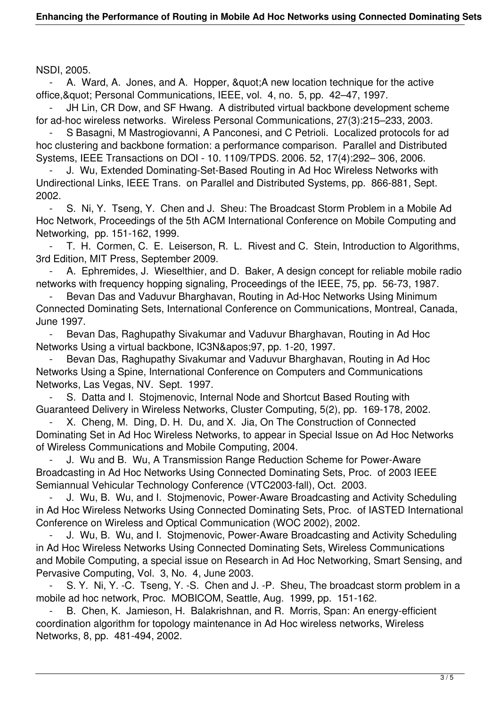NSDI, 2005.

A. Ward, A. Jones, and A. Hopper, " A new location technique for the active office, & quot; Personal Communications, IEEE, vol. 4, no. 5, pp. 42–47, 1997.

JH Lin, CR Dow, and SF Hwang. A distributed virtual backbone development scheme for ad-hoc wireless networks. Wireless Personal Communications, 27(3):215–233, 2003.

 - S Basagni, M Mastrogiovanni, A Panconesi, and C Petrioli. Localized protocols for ad hoc clustering and backbone formation: a performance comparison. Parallel and Distributed Systems, IEEE Transactions on DOI - 10. 1109/TPDS. 2006. 52, 17(4):292– 306, 2006.

 - J. Wu, Extended Dominating-Set-Based Routing in Ad Hoc Wireless Networks with Undirectional Links, IEEE Trans. on Parallel and Distributed Systems, pp. 866-881, Sept. 2002.

 - S. Ni, Y. Tseng, Y. Chen and J. Sheu: The Broadcast Storm Problem in a Mobile Ad Hoc Network, Proceedings of the 5th ACM International Conference on Mobile Computing and Networking, pp. 151-162, 1999.

 - T. H. Cormen, C. E. Leiserson, R. L. Rivest and C. Stein, Introduction to Algorithms, 3rd Edition, MIT Press, September 2009.

 - A. Ephremides, J. Wieselthier, and D. Baker, A design concept for reliable mobile radio networks with frequency hopping signaling, Proceedings of the IEEE, 75, pp. 56-73, 1987.

Bevan Das and Vaduvur Bharghavan, Routing in Ad-Hoc Networks Using Minimum Connected Dominating Sets, International Conference on Communications, Montreal, Canada, June 1997.

 - Bevan Das, Raghupathy Sivakumar and Vaduvur Bharghavan, Routing in Ad Hoc Networks Using a virtual backbone, IC3N&apos: 97, pp. 1-20, 1997.

 - Bevan Das, Raghupathy Sivakumar and Vaduvur Bharghavan, Routing in Ad Hoc Networks Using a Spine, International Conference on Computers and Communications Networks, Las Vegas, NV. Sept. 1997.

S. Datta and I. Stojmenovic, Internal Node and Shortcut Based Routing with Guaranteed Delivery in Wireless Networks, Cluster Computing, 5(2), pp. 169-178, 2002.

X. Cheng, M. Ding, D. H. Du, and X. Jia, On The Construction of Connected Dominating Set in Ad Hoc Wireless Networks, to appear in Special Issue on Ad Hoc Networks of Wireless Communications and Mobile Computing, 2004.

 - J. Wu and B. Wu, A Transmission Range Reduction Scheme for Power-Aware Broadcasting in Ad Hoc Networks Using Connected Dominating Sets, Proc. of 2003 IEEE Semiannual Vehicular Technology Conference (VTC2003-fall), Oct. 2003.

 - J. Wu, B. Wu, and I. Stojmenovic, Power-Aware Broadcasting and Activity Scheduling in Ad Hoc Wireless Networks Using Connected Dominating Sets, Proc. of IASTED International Conference on Wireless and Optical Communication (WOC 2002), 2002.

J. Wu, B. Wu, and I. Stojmenovic, Power-Aware Broadcasting and Activity Scheduling in Ad Hoc Wireless Networks Using Connected Dominating Sets, Wireless Communications and Mobile Computing, a special issue on Research in Ad Hoc Networking, Smart Sensing, and Pervasive Computing, Vol. 3, No. 4, June 2003.

 - S. Y. Ni, Y. -C. Tseng, Y. -S. Chen and J. -P. Sheu, The broadcast storm problem in a mobile ad hoc network, Proc. MOBICOM, Seattle, Aug. 1999, pp. 151-162.

 - B. Chen, K. Jamieson, H. Balakrishnan, and R. Morris, Span: An energy-efficient coordination algorithm for topology maintenance in Ad Hoc wireless networks, Wireless Networks, 8, pp. 481-494, 2002.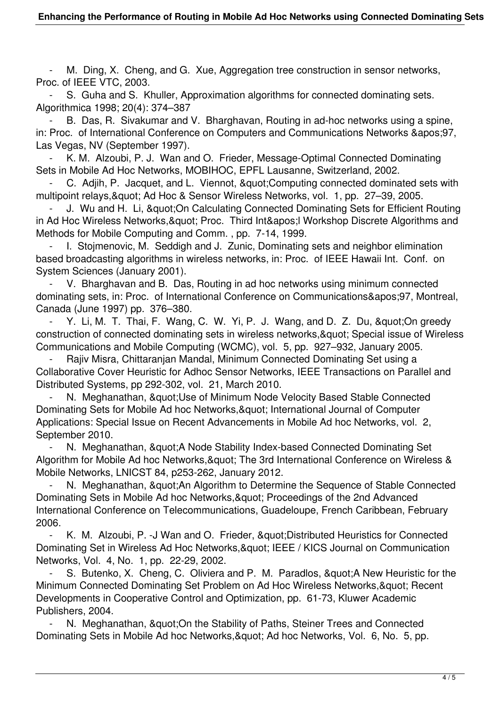M. Ding, X. Cheng, and G. Xue, Aggregation tree construction in sensor networks, Proc. of IEEE VTC, 2003.

S. Guha and S. Khuller, Approximation algorithms for connected dominating sets. Algorithmica 1998; 20(4): 374–387

B. Das, R. Sivakumar and V. Bharghavan, Routing in ad-hoc networks using a spine, in: Proc. of International Conference on Computers and Communications Networks & apos: 97, Las Vegas, NV (September 1997).

 - K. M. Alzoubi, P. J. Wan and O. Frieder, Message-Optimal Connected Dominating Sets in Mobile Ad Hoc Networks, MOBIHOC, EPFL Lausanne, Switzerland, 2002.

C. Adjih, P. Jacquet, and L. Viennot, & quot: Computing connected dominated sets with multipoint relays, & quot; Ad Hoc & Sensor Wireless Networks, vol. 1, pp. 27–39, 2005.

J. Wu and H. Li, & quot: On Calculating Connected Dominating Sets for Efficient Routing in Ad Hoc Wireless Networks, & quot; Proc. Third Int' I Workshop Discrete Algorithms and Methods for Mobile Computing and Comm. , pp. 7-14, 1999.

1. Stojmenovic, M. Seddigh and J. Zunic, Dominating sets and neighbor elimination based broadcasting algorithms in wireless networks, in: Proc. of IEEE Hawaii Int. Conf. on System Sciences (January 2001).

V. Bharghavan and B. Das, Routing in ad hoc networks using minimum connected dominating sets, in: Proc. of International Conference on Communications'97, Montreal, Canada (June 1997) pp. 376–380.

Y. Li, M. T. Thai, F. Wang, C. W. Yi, P. J. Wang, and D. Z. Du, & quot; On greedy construction of connected dominating sets in wireless networks, & quot; Special issue of Wireless Communications and Mobile Computing (WCMC), vol. 5, pp. 927–932, January 2005.

 - Rajiv Misra, Chittaranjan Mandal, Minimum Connected Dominating Set using a Collaborative Cover Heuristic for Adhoc Sensor Networks, IEEE Transactions on Parallel and Distributed Systems, pp 292-302, vol. 21, March 2010.

N. Meghanathan, & quot: Use of Minimum Node Velocity Based Stable Connected Dominating Sets for Mobile Ad hoc Networks, & quot; International Journal of Computer Applications: Special Issue on Recent Advancements in Mobile Ad hoc Networks, vol. 2, September 2010.

N. Meghanathan, & quot: A Node Stability Index-based Connected Dominating Set Algorithm for Mobile Ad hoc Networks, & quot; The 3rd International Conference on Wireless & Mobile Networks, LNICST 84, p253-262, January 2012.

N. Meghanathan, & quot: An Algorithm to Determine the Sequence of Stable Connected Dominating Sets in Mobile Ad hoc Networks, & quot; Proceedings of the 2nd Advanced International Conference on Telecommunications, Guadeloupe, French Caribbean, February 2006.

K. M. Alzoubi, P. - J Wan and O. Frieder, & quot; Distributed Heuristics for Connected Dominating Set in Wireless Ad Hoc Networks, & quot: IEEE / KICS Journal on Communication Networks, Vol. 4, No. 1, pp. 22-29, 2002.

S. Butenko, X. Cheng, C. Oliviera and P. M. Paradlos, & quot: A New Heuristic for the Minimum Connected Dominating Set Problem on Ad Hoc Wireless Networks, & quot: Recent Developments in Cooperative Control and Optimization, pp. 61-73, Kluwer Academic Publishers, 2004.

N. Meghanathan, & quot: On the Stability of Paths, Steiner Trees and Connected Dominating Sets in Mobile Ad hoc Networks, & quot; Ad hoc Networks, Vol. 6, No. 5, pp.